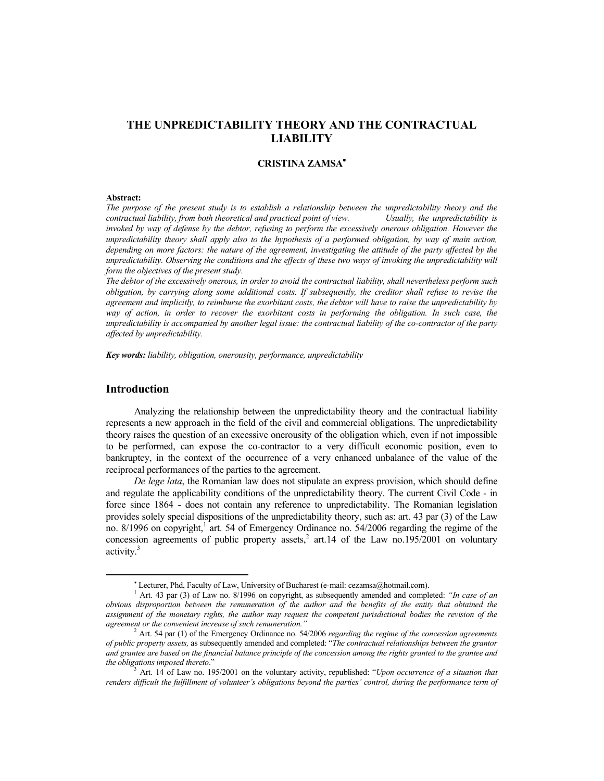# **THE UNPREDICTABILITY THEORY AND THE CONTRACTUAL LIABILITY**

### **CRISTINA ZAMSA**

#### **Abstract:**

*The purpose of the present study is to establish a relationship between the unpredictability theory and the contractual liability, from both theoretical and practical point of view. Usually, the unpredictability is invoked by way of defense by the debtor, refusing to perform the excessively onerous obligation. However the unpredictability theory shall apply also to the hypothesis of a performed obligation, by way of main action, depending on more factors: the nature of the agreement, investigating the attitude of the party affected by the unpredictability. Observing the conditions and the effects of these two ways of invoking the unpredictability will form the objectives of the present study.* 

*The debtor of the excessively onerous, in order to avoid the contractual liability, shall nevertheless perform such obligation, by carrying along some additional costs. If subsequently, the creditor shall refuse to revise the agreement and implicitly, to reimburse the exorbitant costs, the debtor will have to raise the unpredictability by way of action, in order to recover the exorbitant costs in performing the obligation. In such case, the unpredictability is accompanied by another legal issue: the contractual liability of the co-contractor of the party affected by unpredictability.* 

*Key words: liability, obligation, onerousity, performance, unpredictability* 

### **Introduction**

Analyzing the relationship between the unpredictability theory and the contractual liability represents a new approach in the field of the civil and commercial obligations. The unpredictability theory raises the question of an excessive onerousity of the obligation which, even if not impossible to be performed, can expose the co-contractor to a very difficult economic position, even to bankruptcy, in the context of the occurrence of a very enhanced unbalance of the value of the reciprocal performances of the parties to the agreement.

*De lege lata*, the Romanian law does not stipulate an express provision, which should define and regulate the applicability conditions of the unpredictability theory. The current Civil Code - in force since 1864 - does not contain any reference to unpredictability. The Romanian legislation provides solely special dispositions of the unpredictability theory, such as: art. 43 par (3) of the Law no. 8/1996 on copyright,<sup>1</sup> art. 54 of Emergency Ordinance no. 54/2006 regarding the regime of the concession agreements of public property assets,<sup>2</sup> art.14 of the Law no.195/2001 on voluntary activity.<sup>3</sup>

Lecturer, Phd, Faculty of Law, University of Bucharest (e-mail: cezamsa@hotmail.com).

<sup>1</sup> Art. 43 par (3) of Law no. 8/1996 on copyright, as subsequently amended and completed: *"In case of an obvious disproportion between the remuneration of the author and the benefits of the entity that obtained the assignment of the monetary rights, the author may request the competent jurisdictional bodies the revision of the agreement or the convenient increase of such remuneration."*

<sup>2</sup> Art. 54 par (1) of the Emergency Ordinance no. 54/2006 *regarding the regime of the concession agreements of public property assets,* as subsequently amended and completed: "*The contractual relationships between the grantor and grantee are based on the financial balance principle of the concession among the rights granted to the grantee and the obligations imposed thereto*." 3

Art. 14 of Law no. 195/2001 on the voluntary activity, republished: "*Upon occurrence of a situation that renders difficult the fulfillment of volunteer's obligations beyond the parties' control, during the performance term of*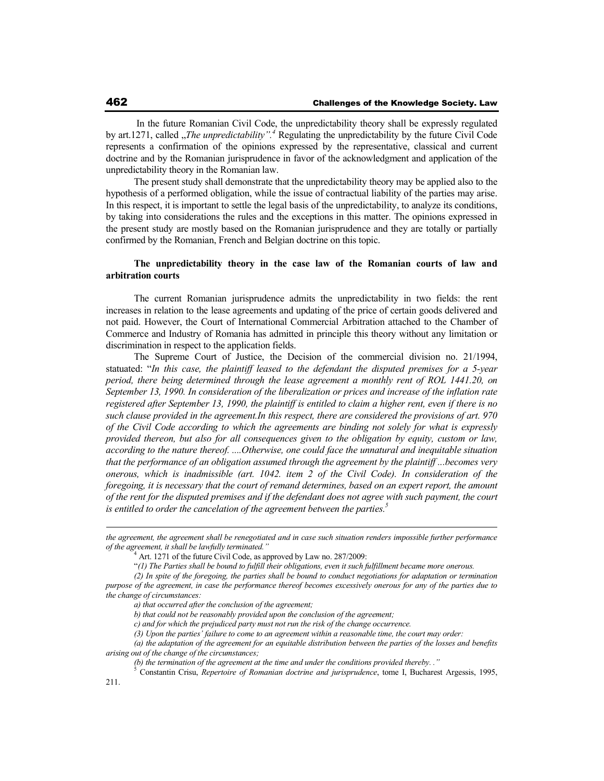In the future Romanian Civil Code, the unpredictability theory shall be expressly regulated by art.1271, called "*The unpredictability*".<sup>4</sup> Regulating the unpredictability by the future Civil Code represents a confirmation of the opinions expressed by the representative, classical and current doctrine and by the Romanian jurisprudence in favor of the acknowledgment and application of the unpredictability theory in the Romanian law.

The present study shall demonstrate that the unpredictability theory may be applied also to the hypothesis of a performed obligation, while the issue of contractual liability of the parties may arise. In this respect, it is important to settle the legal basis of the unpredictability, to analyze its conditions, by taking into considerations the rules and the exceptions in this matter. The opinions expressed in the present study are mostly based on the Romanian jurisprudence and they are totally or partially confirmed by the Romanian, French and Belgian doctrine on this topic.

### **The unpredictability theory in the case law of the Romanian courts of law and arbitration courts**

The current Romanian jurisprudence admits the unpredictability in two fields: the rent increases in relation to the lease agreements and updating of the price of certain goods delivered and not paid. However, the Court of International Commercial Arbitration attached to the Chamber of Commerce and Industry of Romania has admitted in principle this theory without any limitation or discrimination in respect to the application fields.

The Supreme Court of Justice, the Decision of the commercial division no. 21/1994, statuated: "*In this case, the plaintiff leased to the defendant the disputed premises for a 5-year period, there being determined through the lease agreement a monthly rent of ROL 1441.20, on September 13, 1990. In consideration of the liberalization or prices and increase of the inflation rate registered after September 13, 1990, the plaintiff is entitled to claim a higher rent, even if there is no such clause provided in the agreement.In this respect, there are considered the provisions of art. 970 of the Civil Code according to which the agreements are binding not solely for what is expressly provided thereon, but also for all consequences given to the obligation by equity, custom or law, according to the nature thereof. ....Otherwise, one could face the unnatural and inequitable situation that the performance of an obligation assumed through the agreement by the plaintiff ...becomes very onerous, which is inadmissible (art. 1042. item 2 of the Civil Code). In consideration of the foregoing, it is necessary that the court of remand determines, based on an expert report, the amount of the rent for the disputed premises and if the defendant does not agree with such payment, the court is entitled to order the cancelation of the agreement between the parties.<sup>5</sup>*

*the agreement, the agreement shall be renegotiated and in case such situation renders impossible further performance of the agreement, it shall be lawfully terminated."*

<sup>&</sup>lt;sup>4</sup> Art. 1271 of the future Civil Code, as approved by Law no. 287/2009:

<sup>&</sup>quot;*(1) The Parties shall be bound to fulfill their obligations, even it such fulfillment became more onerous.* 

*<sup>(2)</sup> In spite of the foregoing, the parties shall be bound to conduct negotiations for adaptation or termination purpose of the agreement, in case the performance thereof becomes excessively onerous for any of the parties due to the change of circumstances:* 

*a) that occurred after the conclusion of the agreement;* 

*b) that could not be reasonably provided upon the conclusion of the agreement;* 

*c) and for which the prejudiced party must not run the risk of the change occurrence.* 

*<sup>(3)</sup> Upon the parties' failure to come to an agreement within a reasonable time, the court may order:* 

*<sup>(</sup>a) the adaptation of the agreement for an equitable distribution between the parties of the losses and benefits arising out of the change of the circumstances;* 

*<sup>(</sup>b) the termination of the agreement at the time and under the conditions provided thereby. ."* 5

Constantin Crisu, *Repertoire of Romanian doctrine and jurisprudence*, tome I, Bucharest Argessis, 1995,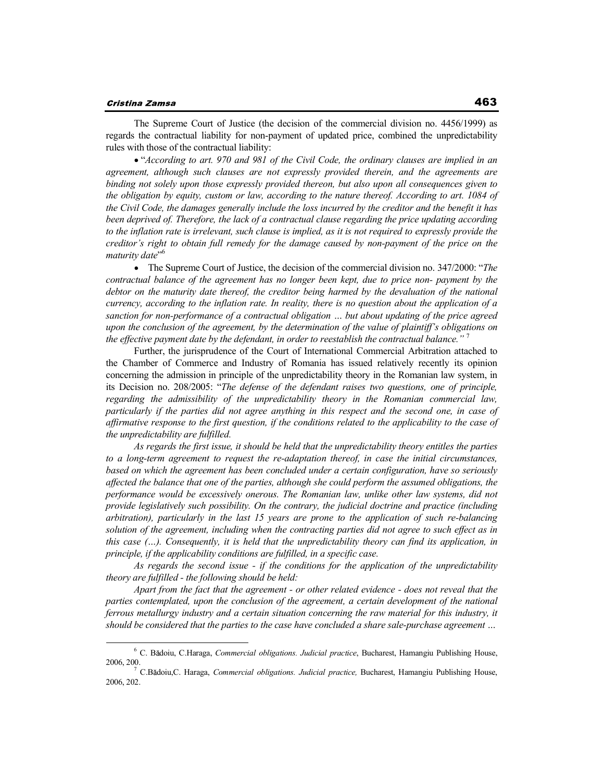#### Cristina Zamsa

The Supreme Court of Justice (the decision of the commercial division no. 4456/1999) as regards the contractual liability for non-payment of updated price, combined the unpredictability rules with those of the contractual liability:

"*According to art. 970 and 981 of the Civil Code, the ordinary clauses are implied in an agreement, although such clauses are not expressly provided therein, and the agreements are binding not solely upon those expressly provided thereon, but also upon all consequences given to the obligation by equity, custom or law, according to the nature thereof. According to art. 1084 of the Civil Code, the damages generally include the loss incurred by the creditor and the benefit it has been deprived of. Therefore, the lack of a contractual clause regarding the price updating according to the inflation rate is irrelevant, such clause is implied, as it is not required to expressly provide the creditor's right to obtain full remedy for the damage caused by non-payment of the price on the maturity date*" 6

The Supreme Court of Justice, the decision of the commercial division no. 347/2000: "*The contractual balance of the agreement has no longer been kept, due to price non- payment by the*  debtor on the maturity date thereof, the creditor being harmed by the devaluation of the national *currency, according to the inflation rate. In reality, there is no question about the application of a sanction for non-performance of a contractual obligation … but about updating of the price agreed upon the conclusion of the agreement, by the determination of the value of plaintiff's obligations on the effective payment date by the defendant, in order to reestablish the contractual balance."* <sup>7</sup>

Further, the jurisprudence of the Court of International Commercial Arbitration attached to the Chamber of Commerce and Industry of Romania has issued relatively recently its opinion concerning the admission in principle of the unpredictability theory in the Romanian law system, in its Decision no. 208/2005: "*The defense of the defendant raises two questions, one of principle, regarding the admissibility of the unpredictability theory in the Romanian commercial law, particularly if the parties did not agree anything in this respect and the second one, in case of affirmative response to the first question, if the conditions related to the applicability to the case of the unpredictability are fulfilled.* 

*As regards the first issue, it should be held that the unpredictability theory entitles the parties to a long-term agreement to request the re-adaptation thereof, in case the initial circumstances, based on which the agreement has been concluded under a certain configuration, have so seriously affected the balance that one of the parties, although she could perform the assumed obligations, the performance would be excessively onerous. The Romanian law, unlike other law systems, did not provide legislatively such possibility. On the contrary, the judicial doctrine and practice (including arbitration), particularly in the last 15 years are prone to the application of such re-balancing solution of the agreement, including when the contracting parties did not agree to such effect as in this case (…). Consequently, it is held that the unpredictability theory can find its application, in principle, if the applicability conditions are fulfilled, in a specific case.* 

*As regards the second issue - if the conditions for the application of the unpredictability theory are fulfilled - the following should be held:*

*Apart from the fact that the agreement - or other related evidence - does not reveal that the parties contemplated, upon the conclusion of the agreement, a certain development of the national ferrous metallurgy industry and a certain situation concerning the raw material for this industry, it should be considered that the parties to the case have concluded a share sale-purchase agreement …* 

<sup>&</sup>lt;sup>6</sup> C. Bădoiu, C.Haraga, *Commercial obligations. Judicial practice*, Bucharest, Hamangiu Publishing House, 2006, 200. 7 C.B doiu,C. Haraga, *Commercial obligations. Judicial practice,* Bucharest, Hamangiu Publishing House,

<sup>2006, 202.</sup>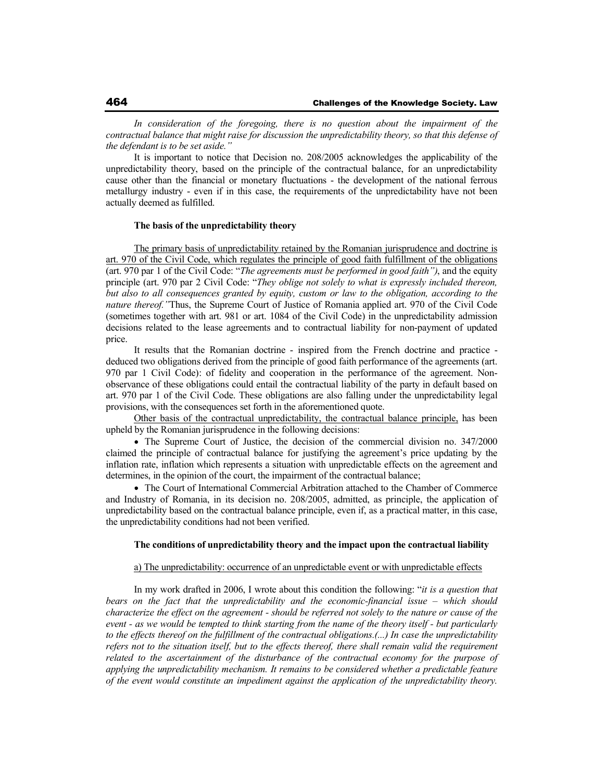*In consideration of the foregoing, there is no question about the impairment of the contractual balance that might raise for discussion the unpredictability theory, so that this defense of the defendant is to be set aside."*

It is important to notice that Decision no. 208/2005 acknowledges the applicability of the unpredictability theory, based on the principle of the contractual balance, for an unpredictability cause other than the financial or monetary fluctuations - the development of the national ferrous metallurgy industry - even if in this case, the requirements of the unpredictability have not been actually deemed as fulfilled.

### **The basis of the unpredictability theory**

The primary basis of unpredictability retained by the Romanian jurisprudence and doctrine is art. 970 of the Civil Code, which regulates the principle of good faith fulfillment of the obligations (art. 970 par 1 of the Civil Code: "*The agreements must be performed in good faith")*, and the equity principle (art. 970 par 2 Civil Code: "*They oblige not solely to what is expressly included thereon, but also to all consequences granted by equity, custom or law to the obligation, according to the nature thereof."*Thus, the Supreme Court of Justice of Romania applied art. 970 of the Civil Code (sometimes together with art. 981 or art. 1084 of the Civil Code) in the unpredictability admission decisions related to the lease agreements and to contractual liability for non-payment of updated price.

It results that the Romanian doctrine - inspired from the French doctrine and practice deduced two obligations derived from the principle of good faith performance of the agreements (art. 970 par 1 Civil Code): of fidelity and cooperation in the performance of the agreement. Nonobservance of these obligations could entail the contractual liability of the party in default based on art. 970 par 1 of the Civil Code. These obligations are also falling under the unpredictability legal provisions, with the consequences set forth in the aforementioned quote.

Other basis of the contractual unpredictability, the contractual balance principle, has been upheld by the Romanian jurisprudence in the following decisions:

• The Supreme Court of Justice, the decision of the commercial division no. 347/2000 claimed the principle of contractual balance for justifying the agreement's price updating by the inflation rate, inflation which represents a situation with unpredictable effects on the agreement and determines, in the opinion of the court, the impairment of the contractual balance;

• The Court of International Commercial Arbitration attached to the Chamber of Commerce and Industry of Romania, in its decision no. 208/2005, admitted, as principle, the application of unpredictability based on the contractual balance principle, even if, as a practical matter, in this case, the unpredictability conditions had not been verified.

#### **The conditions of unpredictability theory and the impact upon the contractual liability**

#### a) The unpredictability: occurrence of an unpredictable event or with unpredictable effects

In my work drafted in 2006, I wrote about this condition the following: "*it is a question that bears on the fact that the unpredictability and the economic-financial issue – which should characterize the effect on the agreement - should be referred not solely to the nature or cause of the event - as we would be tempted to think starting from the name of the theory itself - but particularly to the effects thereof on the fulfillment of the contractual obligations.(...) In case the unpredictability refers not to the situation itself, but to the effects thereof, there shall remain valid the requirement related to the ascertainment of the disturbance of the contractual economy for the purpose of applying the unpredictability mechanism. It remains to be considered whether a predictable feature of the event would constitute an impediment against the application of the unpredictability theory.*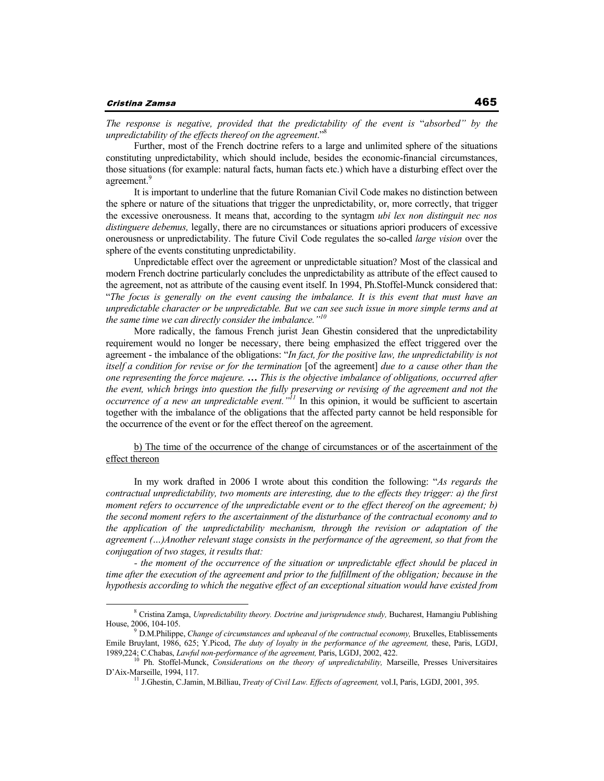#### Cristina Zamsa

*The response is negative, provided that the predictability of the event is* "*absorbed" by the unpredictability of the effects thereof on the agreement*."<sup>8</sup>

Further, most of the French doctrine refers to a large and unlimited sphere of the situations constituting unpredictability, which should include, besides the economic-financial circumstances, those situations (for example: natural facts, human facts etc.) which have a disturbing effect over the agreement.<sup>9</sup>

It is important to underline that the future Romanian Civil Code makes no distinction between the sphere or nature of the situations that trigger the unpredictability, or, more correctly, that trigger the excessive onerousness. It means that, according to the syntagm *ubi lex non distinguit nec nos distinguere debemus,* legally, there are no circumstances or situations apriori producers of excessive onerousness or unpredictability. The future Civil Code regulates the so-called *large vision* over the sphere of the events constituting unpredictability.

Unpredictable effect over the agreement or unpredictable situation? Most of the classical and modern French doctrine particularly concludes the unpredictability as attribute of the effect caused to the agreement, not as attribute of the causing event itself. In 1994, Ph.Stoffel-Munck considered that: "*The focus is generally on the event causing the imbalance. It is this event that must have an unpredictable character or be unpredictable. But we can see such issue in more simple terms and at the same time we can directly consider the imbalance."<sup>10</sup>*

More radically, the famous French jurist Jean Ghestin considered that the unpredictability requirement would no longer be necessary, there being emphasized the effect triggered over the agreement - the imbalance of the obligations: "*In fact, for the positive law, the unpredictability is not itself a condition for revise or for the termination* [of the agreement] *due to a cause other than the one representing the force majeure. … This is the objective imbalance of obligations, occurred after the event, which brings into question the fully preserving or revising of the agreement and not the occurrence of a new an unpredictable event."<sup>11</sup>* In this opinion, it would be sufficient to ascertain together with the imbalance of the obligations that the affected party cannot be held responsible for the occurrence of the event or for the effect thereof on the agreement.

b) The time of the occurrence of the change of circumstances or of the ascertainment of the effect thereon

In my work drafted in 2006 I wrote about this condition the following: "*As regards the contractual unpredictability, two moments are interesting, due to the effects they trigger: a) the first moment refers to occurrence of the unpredictable event or to the effect thereof on the agreement; b) the second moment refers to the ascertainment of the disturbance of the contractual economy and to the application of the unpredictability mechanism, through the revision or adaptation of the agreement (…)Another relevant stage consists in the performance of the agreement, so that from the conjugation of two stages, it results that:* 

*- the moment of the occurrence of the situation or unpredictable effect should be placed in time after the execution of the agreement and prior to the fulfillment of the obligation; because in the hypothesis according to which the negative effect of an exceptional situation would have existed from* 

<sup>&</sup>lt;sup>8</sup> Cristina Zamșa, Unpredictability theory. Doctrine and jurisprudence study, Bucharest, Hamangiu Publishing House, 2006, 104-105.

<sup>&</sup>lt;sup>9</sup> D.M.Philippe, *Change of circumstances and upheaval of the contractual economy*, Bruxelles, Etablissements Emile Bruylant, 1986, 625; Y.Picod, *The duty of loyalty in the performance of the agreement,* these, Paris, LGDJ, 1989,224; C.Chabas, *Lawful non-performance of the agreement*, Paris, LGDJ, 2002, 422.

<sup>10</sup> Ph. Stoffel-Munck, *Considerations on the theory of unpredictability,* Marseille, Presses Universitaires D'Aix-Marseille, 1994, 117.

<sup>11</sup> J.Ghestin, C.Jamin, M.Billiau, *Treaty of Civil Law. Effects of agreement,* vol.I, Paris, LGDJ, 2001, 395.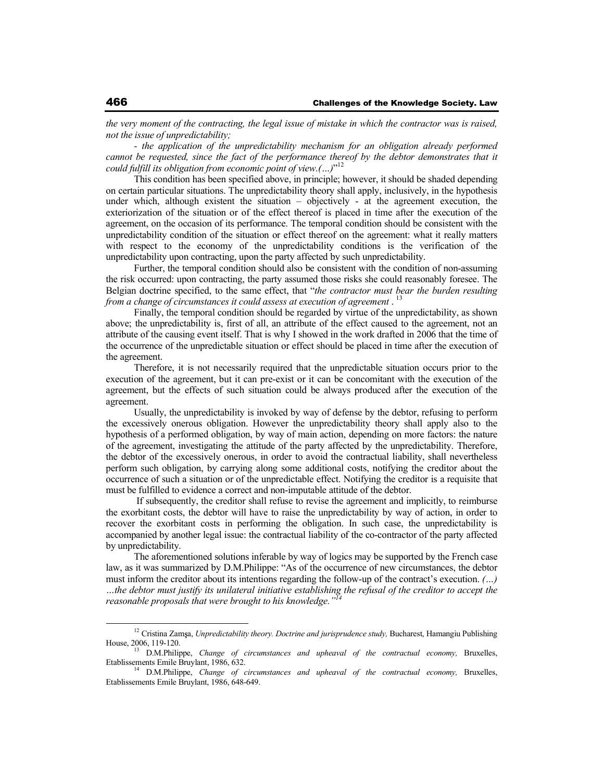*the very moment of the contracting, the legal issue of mistake in which the contractor was is raised, not the issue of unpredictability;* 

*- the application of the unpredictability mechanism for an obligation already performed cannot be requested, since the fact of the performance thereof by the debtor demonstrates that it could fulfill its obligation from economic point of view.(…)*" 12

This condition has been specified above, in principle; however, it should be shaded depending on certain particular situations. The unpredictability theory shall apply, inclusively, in the hypothesis under which, although existent the situation – objectively - at the agreement execution, the exteriorization of the situation or of the effect thereof is placed in time after the execution of the agreement, on the occasion of its performance. The temporal condition should be consistent with the unpredictability condition of the situation or effect thereof on the agreement: what it really matters with respect to the economy of the unpredictability conditions is the verification of the unpredictability upon contracting, upon the party affected by such unpredictability.

Further, the temporal condition should also be consistent with the condition of non-assuming the risk occurred: upon contracting, the party assumed those risks she could reasonably foresee. The Belgian doctrine specified, to the same effect, that "*the contractor must bear the burden resulting*  from a change of circumstances it could assess at execution of agreement .<sup>13</sup>

Finally, the temporal condition should be regarded by virtue of the unpredictability, as shown above; the unpredictability is, first of all, an attribute of the effect caused to the agreement, not an attribute of the causing event itself. That is why I showed in the work drafted in 2006 that the time of the occurrence of the unpredictable situation or effect should be placed in time after the execution of the agreement.

Therefore, it is not necessarily required that the unpredictable situation occurs prior to the execution of the agreement, but it can pre-exist or it can be concomitant with the execution of the agreement, but the effects of such situation could be always produced after the execution of the agreement.

Usually, the unpredictability is invoked by way of defense by the debtor, refusing to perform the excessively onerous obligation. However the unpredictability theory shall apply also to the hypothesis of a performed obligation, by way of main action, depending on more factors: the nature of the agreement, investigating the attitude of the party affected by the unpredictability. Therefore, the debtor of the excessively onerous, in order to avoid the contractual liability, shall nevertheless perform such obligation, by carrying along some additional costs, notifying the creditor about the occurrence of such a situation or of the unpredictable effect. Notifying the creditor is a requisite that must be fulfilled to evidence a correct and non-imputable attitude of the debtor.

 If subsequently, the creditor shall refuse to revise the agreement and implicitly, to reimburse the exorbitant costs, the debtor will have to raise the unpredictability by way of action, in order to recover the exorbitant costs in performing the obligation. In such case, the unpredictability is accompanied by another legal issue: the contractual liability of the co-contractor of the party affected by unpredictability.

The aforementioned solutions inferable by way of logics may be supported by the French case law, as it was summarized by D.M.Philippe: "As of the occurrence of new circumstances, the debtor must inform the creditor about its intentions regarding the follow-up of the contract's execution. *(…) …the debtor must justify its unilateral initiative establishing the refusal of the creditor to accept the reasonable proposals that were brought to his knowledge."<sup>14</sup>*

<sup>&</sup>lt;sup>12</sup> Cristina Zamșa, *Unpredictability theory. Doctrine and jurisprudence study*, Bucharest, Hamangiu Publishing House, 2006, 119-120.

<sup>13</sup> D.M.Philippe, *Change of circumstances and upheaval of the contractual economy,* Bruxelles, Etablissements Emile Bruylant, 1986, 632.

<sup>14</sup> D.M.Philippe, *Change of circumstances and upheaval of the contractual economy,* Bruxelles, Etablissements Emile Bruylant, 1986, 648-649.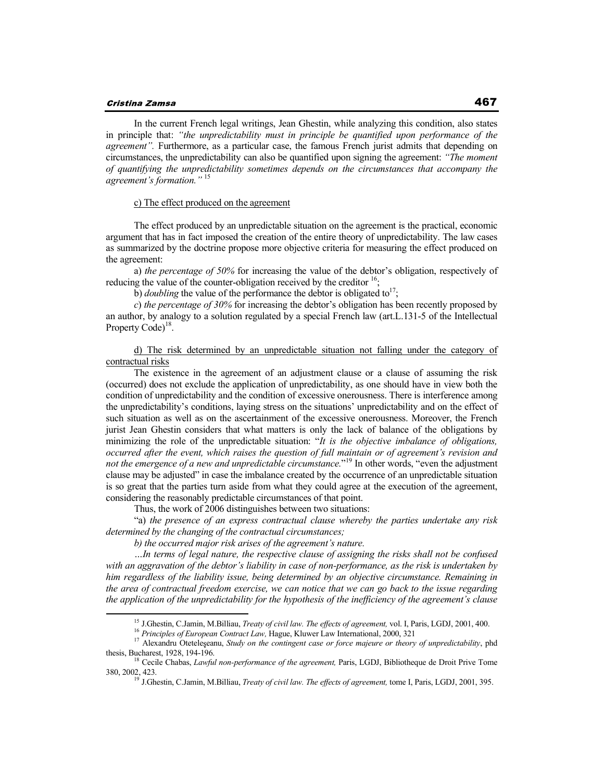In the current French legal writings, Jean Ghestin, while analyzing this condition, also states in principle that: *"the unpredictability must in principle be quantified upon performance of the agreement".* Furthermore, as a particular case, the famous French jurist admits that depending on circumstances, the unpredictability can also be quantified upon signing the agreement: *"The moment of quantifying the unpredictability sometimes depends on the circumstances that accompany the agreement's formation."* <sup>15</sup>

#### c) The effect produced on the agreement

The effect produced by an unpredictable situation on the agreement is the practical, economic argument that has in fact imposed the creation of the entire theory of unpredictability. The law cases as summarized by the doctrine propose more objective criteria for measuring the effect produced on the agreement:

a) *the percentage of 50%* for increasing the value of the debtor's obligation, respectively of reducing the value of the counter-obligation received by the creditor  $16$ ;

b) *doubling* the value of the performance the debtor is obligated to<sup>17</sup>;

*c*) *the percentage of 30%* for increasing the debtor's obligation has been recently proposed by an author, by analogy to a solution regulated by a special French law (art.L.131-5 of the Intellectual Property Code)<sup>18</sup>.

d) The risk determined by an unpredictable situation not falling under the category of contractual risks

The existence in the agreement of an adjustment clause or a clause of assuming the risk (occurred) does not exclude the application of unpredictability, as one should have in view both the condition of unpredictability and the condition of excessive onerousness. There is interference among the unpredictability's conditions, laying stress on the situations' unpredictability and on the effect of such situation as well as on the ascertainment of the excessive onerousness. Moreover, the French jurist Jean Ghestin considers that what matters is only the lack of balance of the obligations by minimizing the role of the unpredictable situation: "*It is the objective imbalance of obligations, occurred after the event, which raises the question of full maintain or of agreement's revision and not the emergence of a new and unpredictable circumstance.*" <sup>19</sup> In other words, "even the adjustment clause may be adjusted" in case the imbalance created by the occurrence of an unpredictable situation is so great that the parties turn aside from what they could agree at the execution of the agreement, considering the reasonably predictable circumstances of that point.

Thus, the work of 2006 distinguishes between two situations:

"a) *the presence of an express contractual clause whereby the parties undertake any risk determined by the changing of the contractual circumstances;* 

*b) the occurred major risk arises of the agreement's nature.* 

*…In terms of legal nature, the respective clause of assigning the risks shall not be confused with an aggravation of the debtor's liability in case of non-performance, as the risk is undertaken by him regardless of the liability issue, being determined by an objective circumstance. Remaining in the area of contractual freedom exercise, we can notice that we can go back to the issue regarding the application of the unpredictability for the hypothesis of the inefficiency of the agreement's clause* 

<sup>15</sup> J.Ghestin, C.Jamin, M.Billiau, *Treaty of civil law. The effects of agreement,* vol. I, Paris, LGDJ, 2001, 400.

<sup>16</sup> *Principles of European Contract Law,* Hague, Kluwer Law International, 2000, 321

<sup>&</sup>lt;sup>17</sup> Alexandru Otetele eanu, *Study on the contingent case or force majeure or theory of unpredictability*, phd thesis, Bucharest, 1928, 194-196.

<sup>&</sup>lt;sup>18</sup> Cecile Chabas, *Lawful non-performance of the agreement*, Paris, LGDJ, Bibliotheque de Droit Prive Tome 380, 2002, 423.

<sup>&</sup>lt;sup>19</sup> J.Ghestin, C.Jamin, M.Billiau, *Treaty of civil law. The effects of agreement*, tome I, Paris, LGDJ, 2001, 395.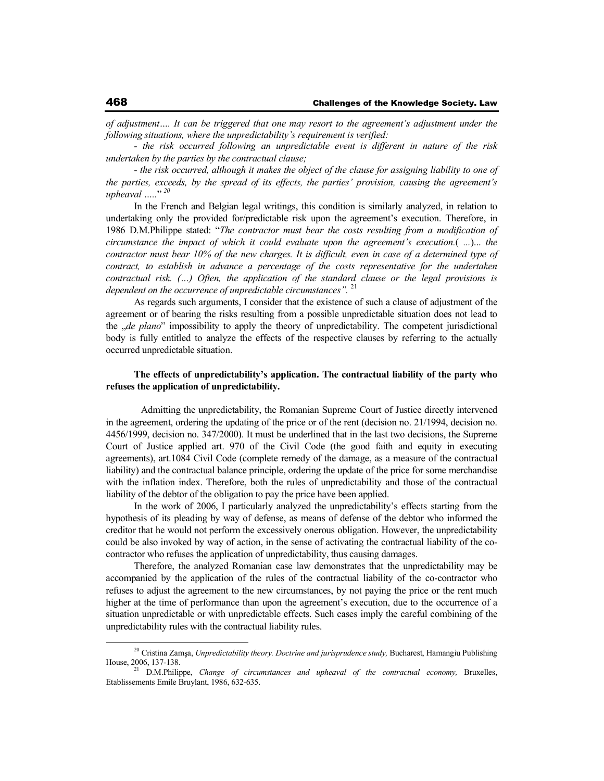*of adjustment…. It can be triggered that one may resort to the agreement's adjustment under the following situations, where the unpredictability's requirement is verified:* 

*- the risk occurred following an unpredictable event is different in nature of the risk undertaken by the parties by the contractual clause;* 

*- the risk occurred, although it makes the object of the clause for assigning liability to one of the parties, exceeds, by the spread of its effects, the parties' provision, causing the agreement's upheaval …..*" *20*

In the French and Belgian legal writings, this condition is similarly analyzed, in relation to undertaking only the provided for/predictable risk upon the agreement's execution. Therefore, in 1986 D.M.Philippe stated: "*The contractor must bear the costs resulting from a modification of circumstance the impact of which it could evaluate upon the agreement's execution.*( *...*)... *the contractor must bear 10% of the new charges. It is difficult, even in case of a determined type of contract, to establish in advance a percentage of the costs representative for the undertaken contractual risk. (…) Often, the application of the standard clause or the legal provisions is dependent on the occurrence of unpredictable circumstances".* <sup>21</sup>

As regards such arguments, I consider that the existence of such a clause of adjustment of the agreement or of bearing the risks resulting from a possible unpredictable situation does not lead to the "*de plano*" impossibility to apply the theory of unpredictability. The competent jurisdictional body is fully entitled to analyze the effects of the respective clauses by referring to the actually occurred unpredictable situation.

### **The effects of unpredictability's application. The contractual liability of the party who refuses the application of unpredictability.**

 Admitting the unpredictability, the Romanian Supreme Court of Justice directly intervened in the agreement, ordering the updating of the price or of the rent (decision no. 21/1994, decision no. 4456/1999, decision no. 347/2000). It must be underlined that in the last two decisions, the Supreme Court of Justice applied art. 970 of the Civil Code (the good faith and equity in executing agreements), art.1084 Civil Code (complete remedy of the damage, as a measure of the contractual liability) and the contractual balance principle, ordering the update of the price for some merchandise with the inflation index. Therefore, both the rules of unpredictability and those of the contractual liability of the debtor of the obligation to pay the price have been applied.

In the work of 2006, I particularly analyzed the unpredictability's effects starting from the hypothesis of its pleading by way of defense, as means of defense of the debtor who informed the creditor that he would not perform the excessively onerous obligation. However, the unpredictability could be also invoked by way of action, in the sense of activating the contractual liability of the cocontractor who refuses the application of unpredictability, thus causing damages.

Therefore, the analyzed Romanian case law demonstrates that the unpredictability may be accompanied by the application of the rules of the contractual liability of the co-contractor who refuses to adjust the agreement to the new circumstances, by not paying the price or the rent much higher at the time of performance than upon the agreement's execution, due to the occurrence of a situation unpredictable or with unpredictable effects. Such cases imply the careful combining of the unpredictability rules with the contractual liability rules.

<sup>&</sup>lt;sup>20</sup> Cristina Zamșa, *Unpredictability theory. Doctrine and jurisprudence study*, Bucharest, Hamangiu Publishing House,  $2006$ , 137-138.

<sup>21</sup> D.M.Philippe, *Change of circumstances and upheaval of the contractual economy,* Bruxelles, Etablissements Emile Bruylant, 1986, 632-635.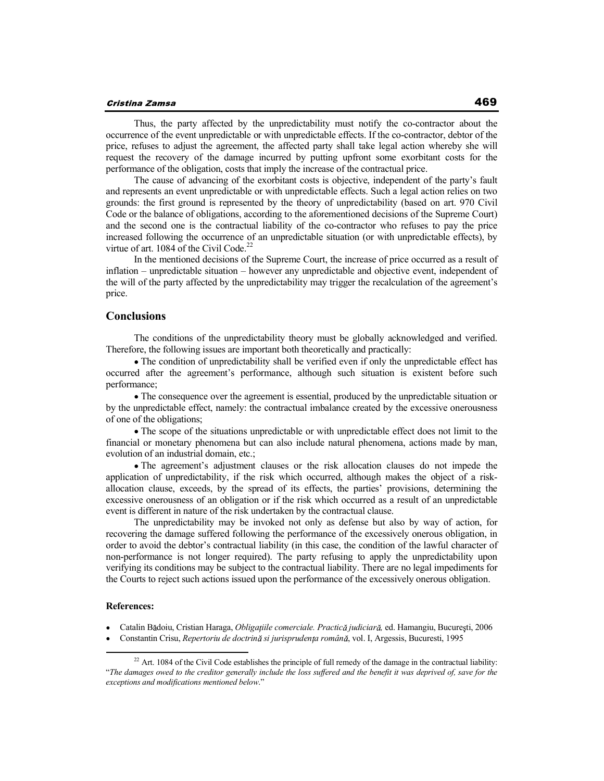#### Cristina Zamsa

Thus, the party affected by the unpredictability must notify the co-contractor about the occurrence of the event unpredictable or with unpredictable effects. If the co-contractor, debtor of the price, refuses to adjust the agreement, the affected party shall take legal action whereby she will request the recovery of the damage incurred by putting upfront some exorbitant costs for the performance of the obligation, costs that imply the increase of the contractual price.

The cause of advancing of the exorbitant costs is objective, independent of the party's fault and represents an event unpredictable or with unpredictable effects. Such a legal action relies on two grounds: the first ground is represented by the theory of unpredictability (based on art. 970 Civil Code or the balance of obligations, according to the aforementioned decisions of the Supreme Court) and the second one is the contractual liability of the co-contractor who refuses to pay the price increased following the occurrence of an unpredictable situation (or with unpredictable effects), by virtue of art.  $1084$  of the Civil Code.<sup>22</sup>

In the mentioned decisions of the Supreme Court, the increase of price occurred as a result of inflation – unpredictable situation – however any unpredictable and objective event, independent of the will of the party affected by the unpredictability may trigger the recalculation of the agreement's price.

## **Conclusions**

The conditions of the unpredictability theory must be globally acknowledged and verified. Therefore, the following issues are important both theoretically and practically:

The condition of unpredictability shall be verified even if only the unpredictable effect has occurred after the agreement's performance, although such situation is existent before such performance;

The consequence over the agreement is essential, produced by the unpredictable situation or by the unpredictable effect, namely: the contractual imbalance created by the excessive onerousness of one of the obligations;

The scope of the situations unpredictable or with unpredictable effect does not limit to the financial or monetary phenomena but can also include natural phenomena, actions made by man, evolution of an industrial domain, etc.;

The agreement's adjustment clauses or the risk allocation clauses do not impede the application of unpredictability, if the risk which occurred, although makes the object of a riskallocation clause, exceeds, by the spread of its effects, the parties' provisions, determining the excessive onerousness of an obligation or if the risk which occurred as a result of an unpredictable event is different in nature of the risk undertaken by the contractual clause.

The unpredictability may be invoked not only as defense but also by way of action, for recovering the damage suffered following the performance of the excessively onerous obligation, in order to avoid the debtor's contractual liability (in this case, the condition of the lawful character of non-performance is not longer required). The party refusing to apply the unpredictability upon verifying its conditions may be subject to the contractual liability. There are no legal impediments for the Courts to reject such actions issued upon the performance of the excessively onerous obligation.

#### **References:**

- Catalin Bădoiu, Cristian Haraga, *Obligatiile comerciale. Practică judiciară*, ed. Hamangiu, Bucuresti, 2006
- $\bullet$ Constantin Crisu, *Repertoriu de doctrină și jurisprudența română*, vol. I, Argessis, Bucuresti, 1995

<sup>&</sup>lt;sup>22</sup> Art. 1084 of the Civil Code establishes the principle of full remedy of the damage in the contractual liability: "*The damages owed to the creditor generally include the loss suffered and the benefit it was deprived of, save for the exceptions and modifications mentioned below*."